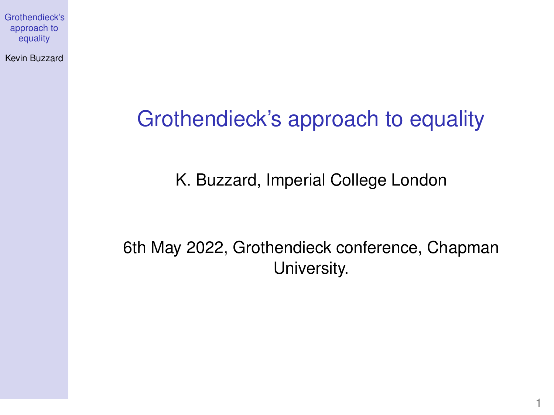<span id="page-0-0"></span>Kevin Buzzard

## Grothendieck's approach to equality

K. Buzzard, Imperial College London

6th May 2022, Grothendieck conference, Chapman University.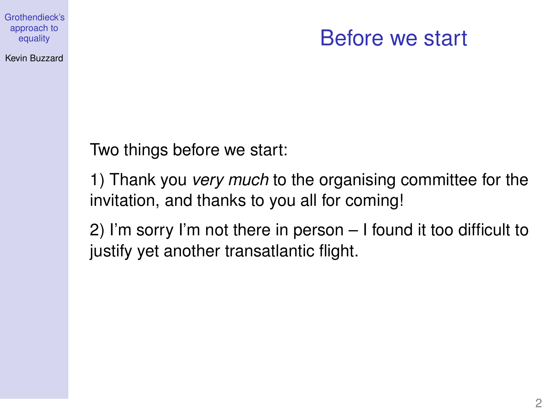### Kevin Buzzard

### Before we start

Two things before we start:

1) Thank you *very much* to the organising committee for the invitation, and thanks to you all for coming!

2) I'm sorry I'm not there in person – I found it too difficult to justify yet another transatlantic flight.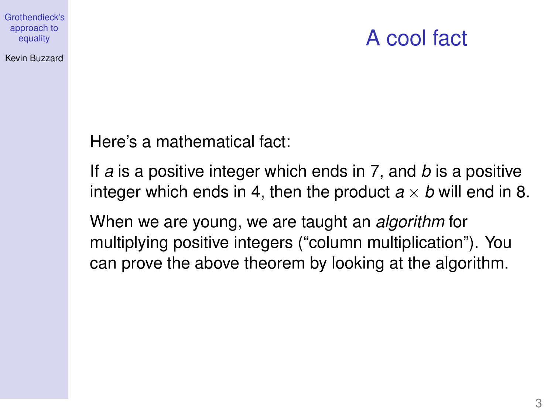### A cool fact

Kevin Buzzard

Here's a mathematical fact:

If *a* is a positive integer which ends in 7, and *b* is a positive integer which ends in 4, then the product  $a \times b$  will end in 8.

When we are young, we are taught an *algorithm* for multiplying positive integers ("column multiplication"). You can prove the above theorem by looking at the algorithm.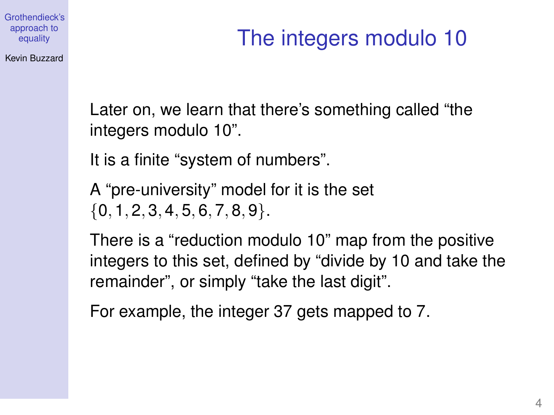### Kevin Buzzard

# The integers modulo 10

Later on, we learn that there's something called "the integers modulo 10".

It is a finite "system of numbers".

A "pre-university" model for it is the set  ${0, 1, 2, 3, 4, 5, 6, 7, 8, 9}.$ 

There is a "reduction modulo 10" map from the positive integers to this set, defined by "divide by 10 and take the remainder", or simply "take the last digit".

For example, the integer 37 gets mapped to 7.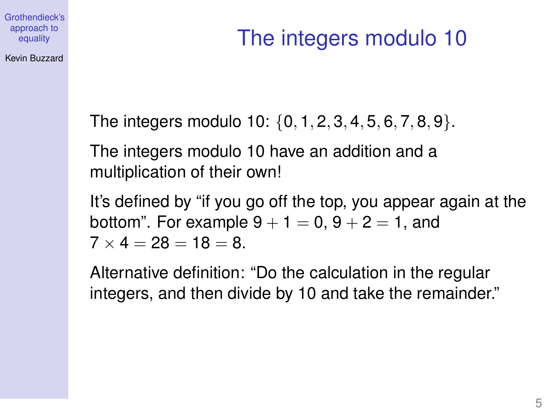[Grothendieck's](#page-0-0) approach to equality Kevin Buzzard

# The integers modulo 10

The integers modulo 10: {0, 1, 2, 3, 4, 5, 6, 7, 8, 9}.

The integers modulo 10 have an addition and a multiplication of their own!

It's defined by "if you go off the top, you appear again at the bottom". For example  $9 + 1 = 0$ ,  $9 + 2 = 1$ , and  $7 \times 4 = 28 = 18 = 8$ .

Alternative definition: "Do the calculation in the regular integers, and then divide by 10 and take the remainder."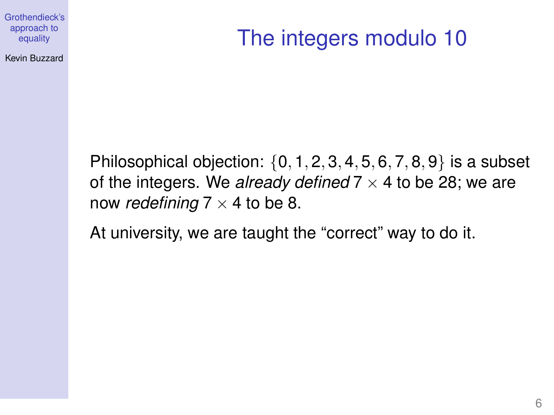Kevin Buzzard

# The integers modulo 10

Philosophical objection:  $\{0, 1, 2, 3, 4, 5, 6, 7, 8, 9\}$  is a subset of the integers. We *already defined*  $7 \times 4$  to be 28; we are now *redefining*  $7 \times 4$  to be 8.

At university, we are taught the "correct" way to do it.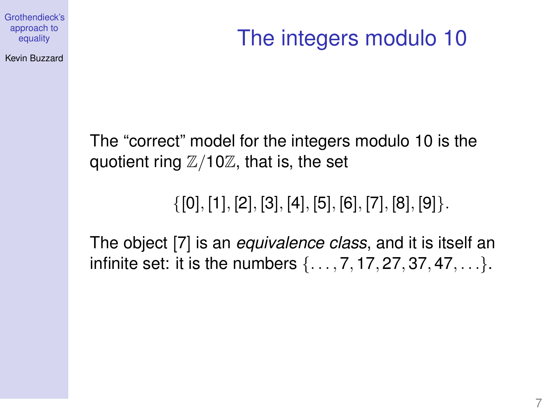Kevin Buzzard

# The integers modulo 10

The "correct" model for the integers modulo 10 is the quotient ring  $\mathbb{Z}/10\mathbb{Z}$ , that is, the set

 $\{[0], [1], [2], [3], [4], [5], [6], [7], [8], [9]\}.$ 

The object [7] is an *equivalence class*, and it is itself an infinite set: it is the numbers  $\{..., 7, 17, 27, 37, 47, ...\}$ .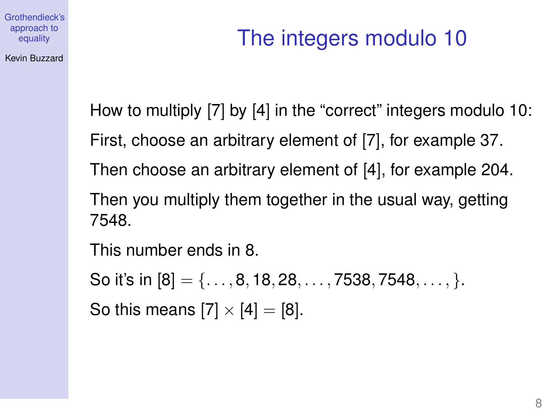[Grothendieck's](#page-0-0) approach to equality Kevin Buzzard

# The integers modulo 10

How to multiply [7] by [4] in the "correct" integers modulo 10:

First, choose an arbitrary element of [7], for example 37.

Then choose an arbitrary element of [4], for example 204.

Then you multiply them together in the usual way, getting 7548.

This number ends in 8.

So it's in  $[8] = \{..., 8, 18, 28, ..., 7538, 7548, ..., \}$ . So this means  $[7] \times [4] = [8]$ .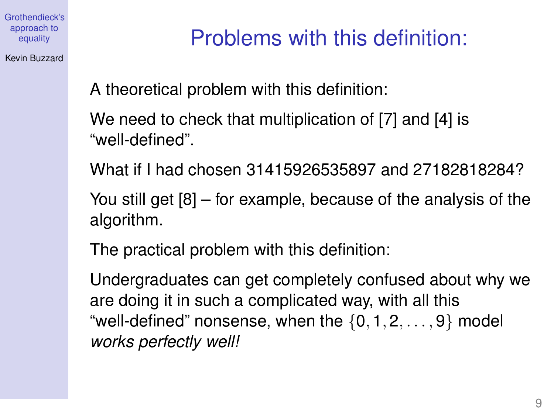Kevin Buzzard

# Problems with this definition:

A theoretical problem with this definition:

We need to check that multiplication of [7] and [4] is "well-defined".

What if I had chosen 31415926535897 and 27182818284?

You still get [8] – for example, because of the analysis of the algorithm.

The practical problem with this definition:

Undergraduates can get completely confused about why we are doing it in such a complicated way, with all this "well-defined" nonsense, when the  $\{0, 1, 2, \ldots, 9\}$  model *works perfectly well!*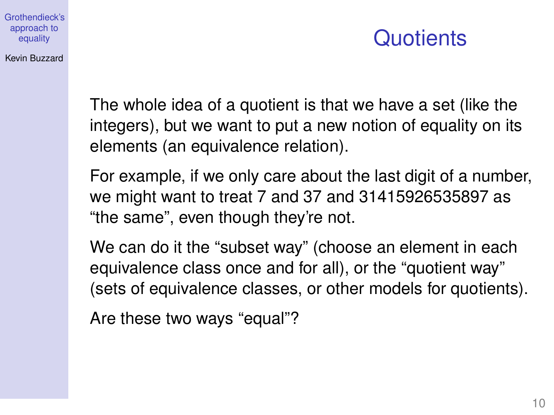### Kevin Buzzard

## **Quotients**

The whole idea of a quotient is that we have a set (like the integers), but we want to put a new notion of equality on its elements (an equivalence relation).

For example, if we only care about the last digit of a number, we might want to treat 7 and 37 and 31415926535897 as "the same", even though they're not.

We can do it the "subset way" (choose an element in each equivalence class once and for all), or the "quotient way" (sets of equivalence classes, or other models for quotients).

Are these two ways "equal"?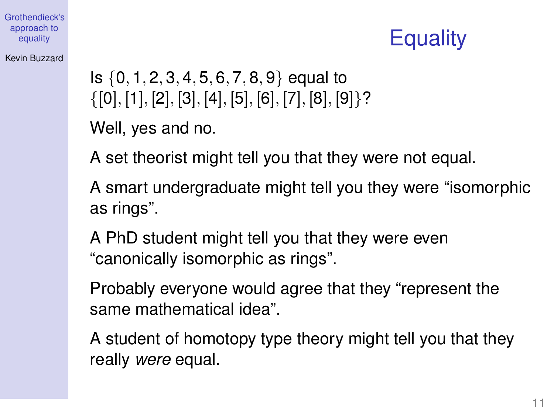## **Equality**

### Kevin Buzzard

Is  $\{0, 1, 2, 3, 4, 5, 6, 7, 8, 9\}$  equal to  $\{[0], [1], [2], [3], [4], [5], [6], [7], [8], [9]\}$ ?

Well, yes and no.

A set theorist might tell you that they were not equal.

A smart undergraduate might tell you they were "isomorphic as rings".

A PhD student might tell you that they were even "canonically isomorphic as rings".

Probably everyone would agree that they "represent the same mathematical idea".

A student of homotopy type theory might tell you that they really *were* equal.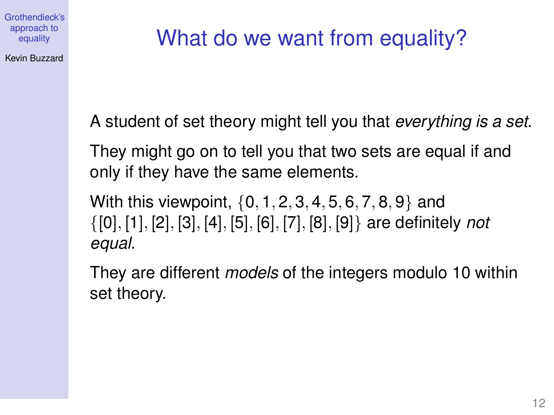Kevin Buzzard

# What do we want from equality?

A student of set theory might tell you that *everything is a set*.

They might go on to tell you that two sets are equal if and only if they have the same elements.

With this viewpoint, {0, 1, 2, 3, 4, 5, 6, 7, 8, 9} and {[0], [1], [2], [3], [4], [5], [6], [7], [8], [9]} are definitely *not equal*.

They are different *models* of the integers modulo 10 within set theory.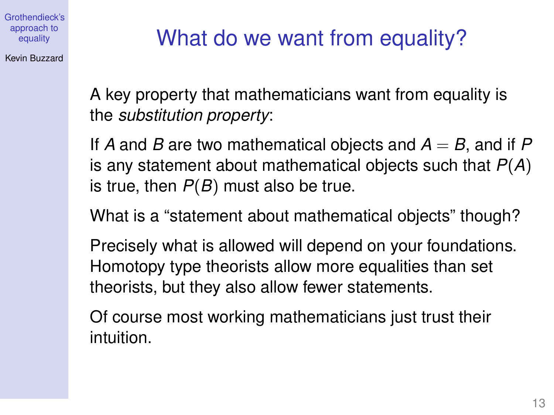Kevin Buzzard

# What do we want from equality?

A key property that mathematicians want from equality is the *substitution property*:

If A and B are two mathematical objects and  $A = B$ , and if P is any statement about mathematical objects such that *P*(*A*) is true, then *P*(*B*) must also be true.

What is a "statement about mathematical objects" though?

Precisely what is allowed will depend on your foundations. Homotopy type theorists allow more equalities than set theorists, but they also allow fewer statements.

Of course most working mathematicians just trust their intuition.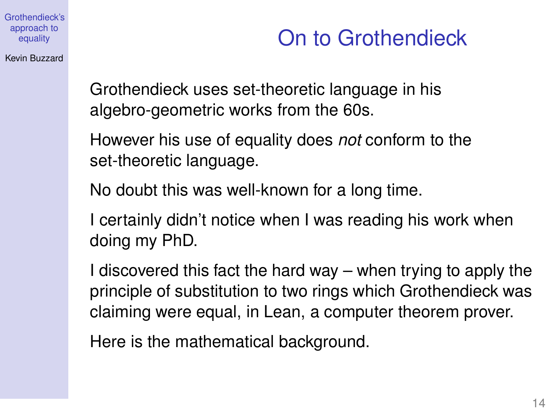Kevin Buzzard

## On to Grothendieck

Grothendieck uses set-theoretic language in his algebro-geometric works from the 60s.

However his use of equality does *not* conform to the set-theoretic language.

No doubt this was well-known for a long time.

I certainly didn't notice when I was reading his work when doing my PhD.

I discovered this fact the hard way – when trying to apply the principle of substitution to two rings which Grothendieck was claiming were equal, in Lean, a computer theorem prover.

Here is the mathematical background.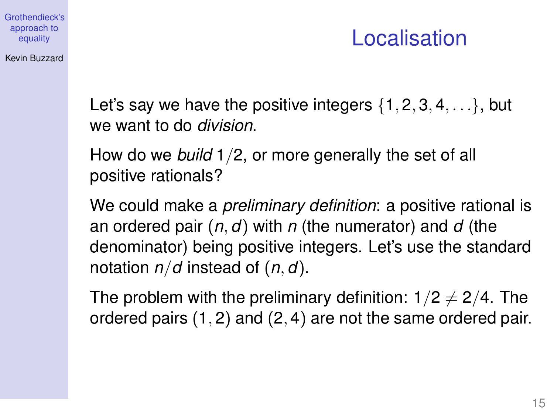### Kevin Buzzard

## Localisation

Let's say we have the positive integers  $\{1, 2, 3, 4, \ldots\}$ , but we want to do *division*.

How do we *build* 1/2, or more generally the set of all positive rationals?

We could make a *preliminary definition*: a positive rational is an ordered pair (*n*, *d*) with *n* (the numerator) and *d* (the denominator) being positive integers. Let's use the standard notation *n*/*d* instead of (*n*, *d*).

The problem with the preliminary definition:  $1/2 \neq 2/4$ . The ordered pairs (1, 2) and (2, 4) are not the same ordered pair.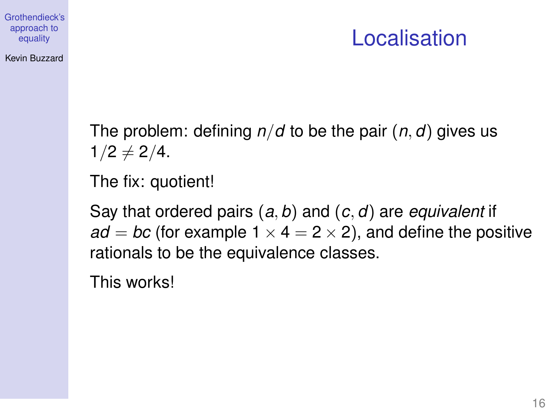### Kevin Buzzard

## Localisation

The problem: defining *n*/*d* to be the pair (*n*, *d*) gives us  $1/2 \neq 2/4$ .

The fix: quotient!

Say that ordered pairs (*a*, *b*) and (*c*, *d*) are *equivalent* if  $ad = bc$  (for example  $1 \times 4 = 2 \times 2$ ), and define the positive rationals to be the equivalence classes.

This works!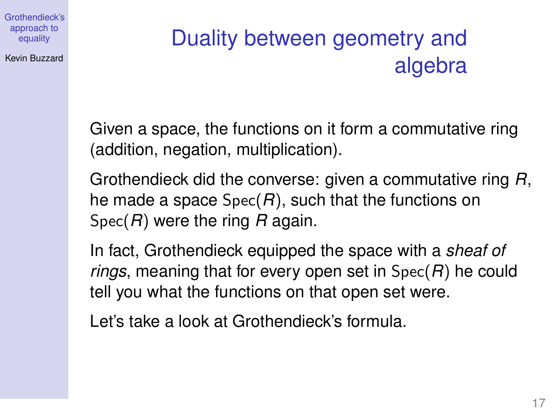Kevin Buzzard

# Duality between geometry and algebra

Given a space, the functions on it form a commutative ring (addition, negation, multiplication).

Grothendieck did the converse: given a commutative ring *R*, he made a space Spec(*R*), such that the functions on Spec(*R*) were the ring *R* again.

In fact, Grothendieck equipped the space with a *sheaf of rings*, meaning that for every open set in Spec(*R*) he could tell you what the functions on that open set were.

Let's take a look at Grothendieck's formula.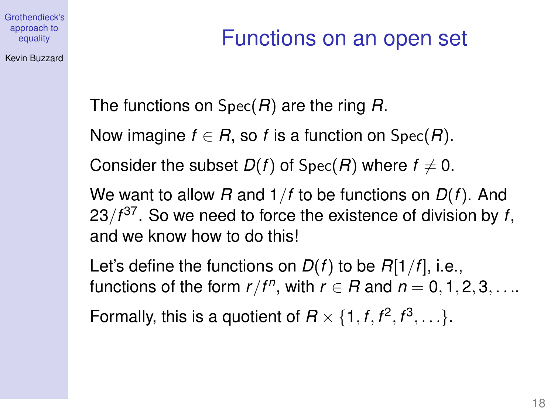### Kevin Buzzard

## Functions on an open set

The functions on Spec(*R*) are the ring *R*.

Now imagine  $f \in R$ , so *f* is a function on Spec(*R*).

Consider the subset  $D(f)$  of Spec(*R*) where  $f \neq 0$ .

We want to allow *R* and 1/*f* to be functions on *D*(*f*). And 23/*f* 37 . So we need to force the existence of division by *f*, and we know how to do this!

Let's define the functions on *D*(*f*) to be *R*[1/*f*], i.e., functions of the form  $r/f^n$ , with  $r \in R$  and  $n = 0, 1, 2, 3, \ldots$ 

Formally, this is a quotient of  $R \times \{1, f, f^2, f^3, \ldots\}$ .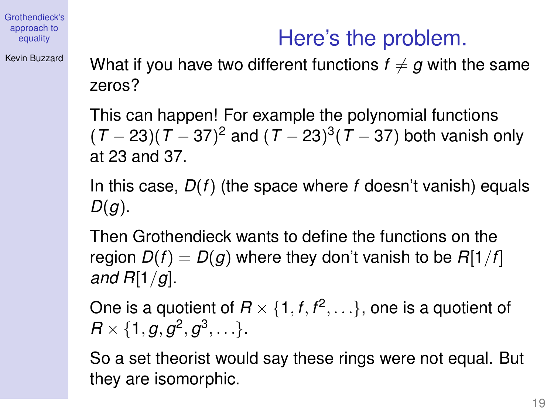### Kevin Buzzard

What if you have two different functions  $f \neq g$  with the same zeros?

Here's the problem.

This can happen! For example the polynomial functions (*T* − 23)(*T* − 37) <sup>2</sup> and (*T* − 23) 3 (*T* − 37) both vanish only at 23 and 37.

In this case, *D*(*f*) (the space where *f* doesn't vanish) equals *D*(*g*).

Then Grothendieck wants to define the functions on the region  $D(f) = D(g)$  where they don't vanish to be  $R[1/f]$ *and R*[1/*g*].

One is a quotient of  $R \times \{1, f, f^2, \ldots\}$ , one is a quotient of  $R \times \{1, g, g^2, g^3, \ldots\}.$ 

So a set theorist would say these rings were not equal. But they are isomorphic.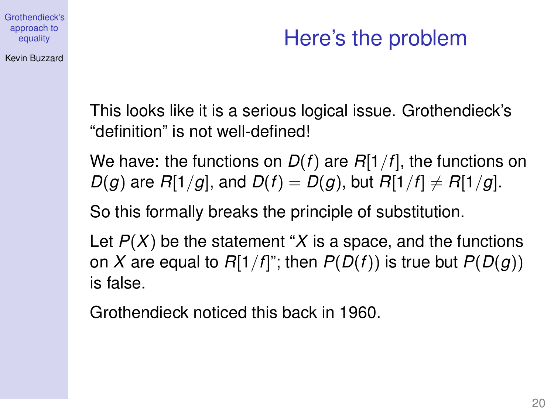### Kevin Buzzard

## Here's the problem

This looks like it is a serious logical issue. Grothendieck's "definition" is not well-defined!

We have: the functions on *D*(*f*) are *R*[1/*f*], the functions on *D*(*g*) are *R*[1/*g*], and *D*(*f*) = *D*(*g*), but *R*[1/*f*]  $\neq$  *R*[1/*g*].

So this formally breaks the principle of substitution.

Let *P*(*X*) be the statement "*X* is a space, and the functions on *X* are equal to  $R[1/f]$ "; then  $P(D(f))$  is true but  $P(D(g))$ is false.

Grothendieck noticed this back in 1960.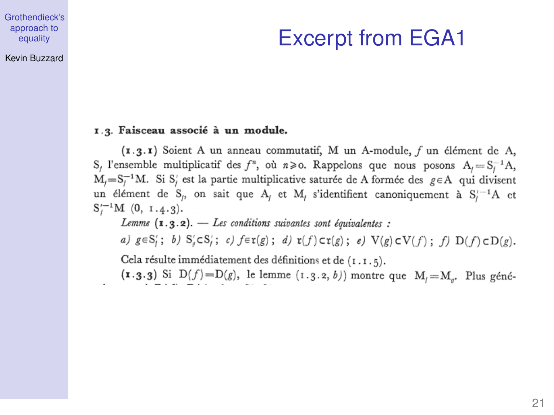#### Kevin Buzzard

## Excerpt from EGA1

### 1.3. Faisceau associé à un module.

(1.3.1) Soient A un anneau commutatif, M un A-module, f un élément de A, S<sub>i</sub> l'ensemble multiplicatif des  $f^n$ , où  $n \ge 0$ . Rappelons que nous posons  $A_i = S_i^{-1}A$ ,  $M_j = S_j^{-1}M$ . Si S' est la partie multiplicative saturée de A formée des  $g \in A$  qui divisent un élément de S<sub>i</sub>, on sait que A<sub>i</sub> et M<sub>i</sub> s'identifient canoniquement à S<sup>i-1</sup>A et  $S'^{-1}_{1}M$  (0, 1.4.3).

Lemme  $(x, y, z)$ . - Les conditions suivantes sont équivalentes :

a)  $g \in S'_i$ ; b)  $S'_i \subset S'_i$ ; c)  $f \in \mathfrak{r}(g)$ ; d)  $\mathfrak{r}(f) \subset \mathfrak{r}(g)$ ; e)  $V(g) \subset V(f)$ ; f)  $D(f) \subset D(g)$ .

Cela résulte immédiatement des définitions et de (1.1.5).

 $(x.3.3)$  Si D(f)=D(g), le lemme  $(1.3.2, b)$  montre que  $M_i = M_{ij}$ . Plus géné-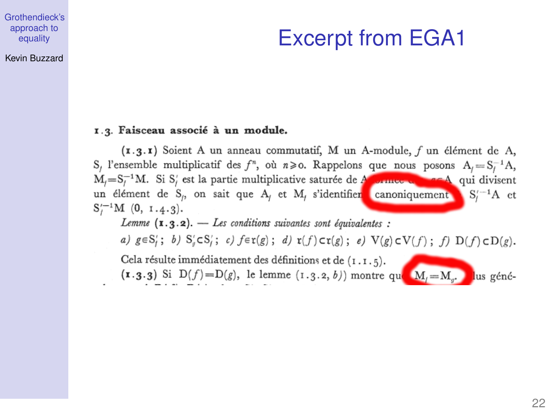#### Kevin Buzzard

## Excerpt from EGA1

### 1.3. Faisceau associé à un module.

(1.3.1) Soient A un anneau commutatif, M un A-module, f un élément de A, S, l'ensemble multiplicatif des  $f^n$ , où  $n \ge 0$ . Rappelons que nous posons  $A_i = S_i^{-1}A$ ,  $M_i = S_i^{-1}M$ . Si S' est la partie multiplicative saturée de A connec de nor A qui divisent un élément de S<sub>i</sub>, on sait que A<sub>i</sub> et M<sub>i</sub> s'identifier canoniquement S<sub>i</sub><sup>-1</sup>A et  $S'^{-1}_{1}M$  (0, 1.4.3). Lemme  $(x, y, z)$ . - Les conditions suivantes sont équivalentes : a)  $g \in S'_i$ ; b)  $S'_g \subset S'_i$ ; c)  $f \in \mathfrak{r}(g)$ ; d)  $\mathfrak{r}(f) \subset \mathfrak{r}(g)$ ; e)  $V(g) \subset V(f)$ ; f)  $D(f) \subset D(g)$ . Cela résulte immédiatement des définitions et de  $(1.1.5)$ .  $(\mathbf{1} \cdot \mathbf{3} \cdot \mathbf{3})$  Si  $D(f) = D(g)$ , le lemme  $(1 \cdot 3 \cdot 2, b)$  montre que  $M_f = M_g$ . lus géné-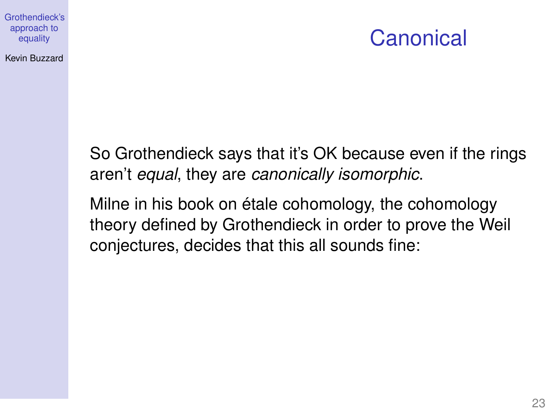### Kevin Buzzard

### **Canonical**

So Grothendieck says that it's OK because even if the rings aren't *equal*, they are *canonically isomorphic*.

Milne in his book on étale cohomology, the cohomology theory defined by Grothendieck in order to prove the Weil conjectures, decides that this all sounds fine: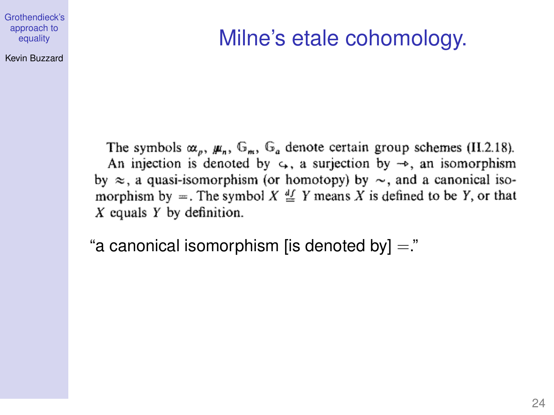### Kevin Buzzard

## Milne's etale cohomology.

The symbols  $\alpha_p$ ,  $\mu_n$ ,  $\mathbb{G}_n$ ,  $\mathbb{G}_a$  denote certain group schemes (II.2.18). An injection is denoted by  $\varsigma$ , a surjection by  $\rightarrow$ , an isomorphism by  $\approx$ , a quasi-isomorphism (or homotopy) by  $\sim$ , and a canonical isomorphism by =. The symbol  $X \stackrel{df}{=} Y$  means X is defined to be Y, or that  $X$  equals  $Y$  by definition.

"a canonical isomorphism [is denoted by]  $=$ "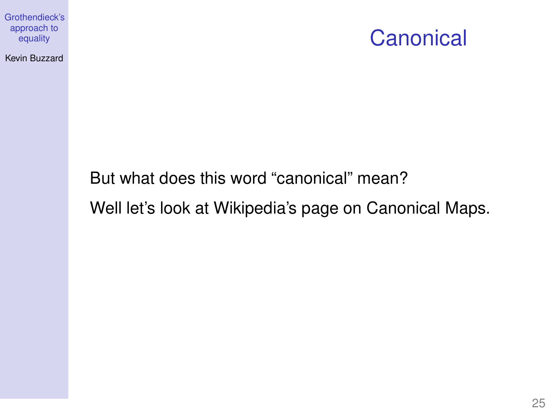Kevin Buzzard



But what does this word "canonical" mean?

Well let's look at Wikipedia's page on Canonical Maps.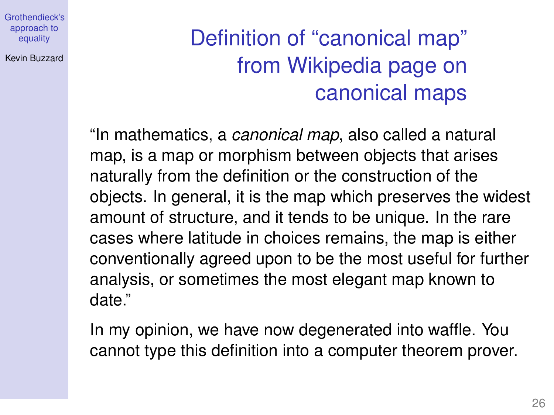Kevin Buzzard

# Definition of "canonical map" from Wikipedia page on canonical maps

"In mathematics, a *canonical map*, also called a natural map, is a map or morphism between objects that arises naturally from the definition or the construction of the objects. In general, it is the map which preserves the widest amount of structure, and it tends to be unique. In the rare cases where latitude in choices remains, the map is either conventionally agreed upon to be the most useful for further analysis, or sometimes the most elegant map known to date."

In my opinion, we have now degenerated into waffle. You cannot type this definition into a computer theorem prover.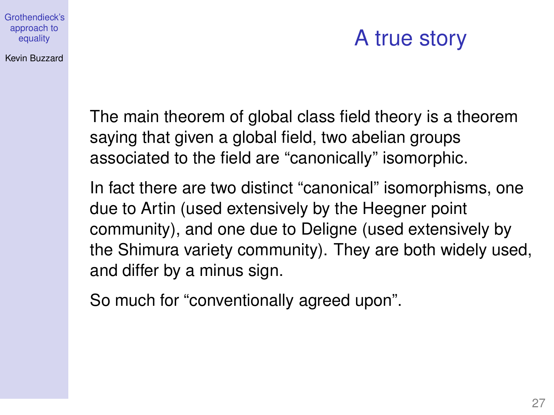#### Kevin Buzzard

## A true story

The main theorem of global class field theory is a theorem saying that given a global field, two abelian groups associated to the field are "canonically" isomorphic.

In fact there are two distinct "canonical" isomorphisms, one due to Artin (used extensively by the Heegner point community), and one due to Deligne (used extensively by the Shimura variety community). They are both widely used, and differ by a minus sign.

So much for "conventionally agreed upon".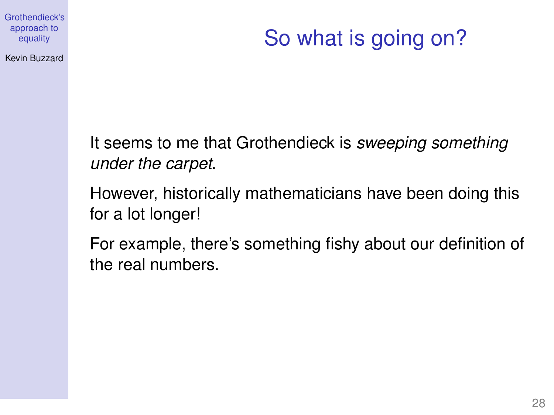Kevin Buzzard

# So what is going on?

It seems to me that Grothendieck is *sweeping something under the carpet*.

However, historically mathematicians have been doing this for a lot longer!

For example, there's something fishy about our definition of the real numbers.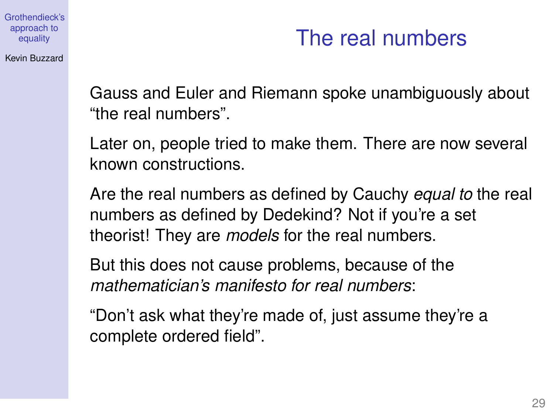### Kevin Buzzard

## The real numbers

Gauss and Euler and Riemann spoke unambiguously about "the real numbers".

Later on, people tried to make them. There are now several known constructions.

Are the real numbers as defined by Cauchy *equal to* the real numbers as defined by Dedekind? Not if you're a set theorist! They are *models* for the real numbers.

But this does not cause problems, because of the *mathematician's manifesto for real numbers*:

"Don't ask what they're made of, just assume they're a complete ordered field".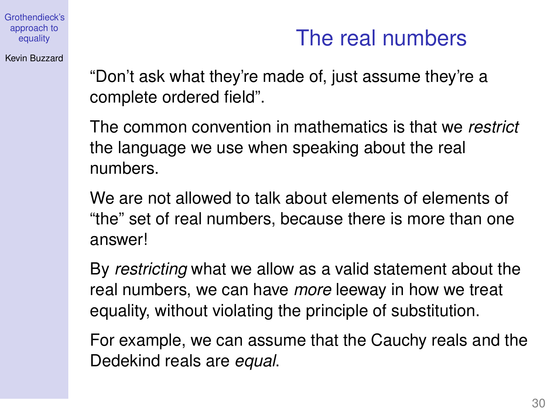## The real numbers

Kevin Buzzard

"Don't ask what they're made of, just assume they're a complete ordered field".

The common convention in mathematics is that we *restrict* the language we use when speaking about the real numbers.

We are not allowed to talk about elements of elements of "the" set of real numbers, because there is more than one answer!

By *restricting* what we allow as a valid statement about the real numbers, we can have *more* leeway in how we treat equality, without violating the principle of substitution.

For example, we can assume that the Cauchy reals and the Dedekind reals are *equal*.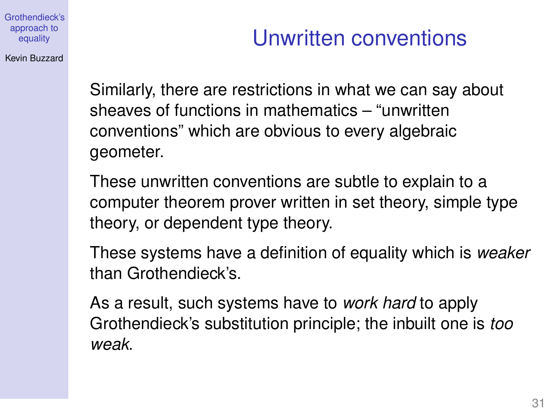Kevin Buzzard

# Unwritten conventions

Similarly, there are restrictions in what we can say about sheaves of functions in mathematics – "unwritten conventions" which are obvious to every algebraic geometer.

These unwritten conventions are subtle to explain to a computer theorem prover written in set theory, simple type theory, or dependent type theory.

These systems have a definition of equality which is *weaker* than Grothendieck's.

As a result, such systems have to *work hard* to apply Grothendieck's substitution principle; the inbuilt one is *too weak*.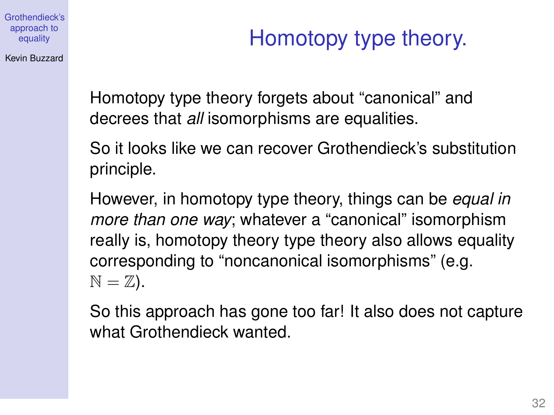Kevin Buzzard

Homotopy type theory forgets about "canonical" and decrees that *all* isomorphisms are equalities.

So it looks like we can recover Grothendieck's substitution principle.

However, in homotopy type theory, things can be *equal in more than one way*; whatever a "canonical" isomorphism really is, homotopy theory type theory also allows equality corresponding to "noncanonical isomorphisms" (e.g.  $\mathbb{N} = \mathbb{Z}$ ).

So this approach has gone too far! It also does not capture what Grothendieck wanted.